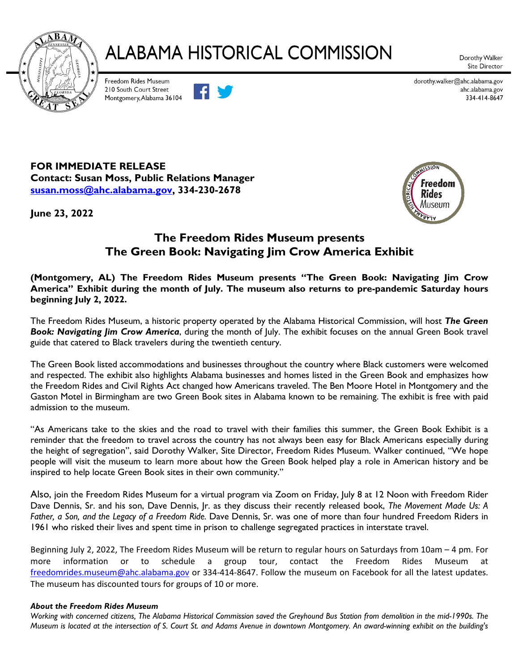

## **ALABAMA HISTORICAL COMMISSION**

Dorothy Walker Site Director

Freedom Rides Museum 210 South Court Street Montgomery, Alabama 36104



dorothy.walker@ahc.alabama.gov ahc.alabama.gov 334-414-8647

**FOR IMMEDIATE RELEASE Contact: Susan Moss, Public Relations Manager [susan.moss@ahc.alabama.gov,](mailto:susan.moss@ahc.alabama.gov) 334-230-2678**

**June 23, 2022**



### **The Freedom Rides Museum presents The Green Book: Navigating Jim Crow America Exhibit**

**(Montgomery, AL) The Freedom Rides Museum presents "The Green Book: Navigating Jim Crow America" Exhibit during the month of July. The museum also returns to pre-pandemic Saturday hours beginning July 2, 2022.**

The Freedom Rides Museum, a historic property operated by the Alabama Historical Commission, will host *The Green Book: Navigating Jim Crow America*, during the month of July. The exhibit focuses on the annual Green Book travel guide that catered to Black travelers during the twentieth century.

The Green Book listed accommodations and businesses throughout the country where Black customers were welcomed and respected. The exhibit also highlights Alabama businesses and homes listed in the Green Book and emphasizes how the Freedom Rides and Civil Rights Act changed how Americans traveled. The Ben Moore Hotel in Montgomery and the Gaston Motel in Birmingham are two Green Book sites in Alabama known to be remaining. The exhibit is free with paid admission to the museum.

"As Americans take to the skies and the road to travel with their families this summer, the Green Book Exhibit is a reminder that the freedom to travel across the country has not always been easy for Black Americans especially during the height of segregation", said Dorothy Walker, Site Director, Freedom Rides Museum. Walker continued, "We hope people will visit the museum to learn more about how the Green Book helped play a role in American history and be inspired to help locate Green Book sites in their own community."

Also, join the Freedom Rides Museum for a virtual program via Zoom on Friday, July 8 at 12 Noon with Freedom Rider Dave Dennis, Sr. and his son, Dave Dennis, Jr. as they discuss their recently released book, *The Movement Made Us: A Father, a Son, and the Legacy of a Freedom Ride.* Dave Dennis, Sr. was one of more than four hundred Freedom Riders in 1961 who risked their lives and spent time in prison to challenge segregated practices in interstate travel.

Beginning July 2, 2022, The Freedom Rides Museum will be return to regular hours on Saturdays from 10am – 4 pm. For more information or to schedule a group tour, contact the Freedom Rides Museum [freedomrides.museum@ahc.alabama.gov](mailto:freedomrides.museum@ahc.alabama.gov) or 334-414-8647. Follow the museum on Facebook for all the latest updates. The museum has discounted tours for groups of 10 or more.

### *About the Freedom Rides Museum*

*Working with concerned citizens, The Alabama Historical Commission saved the Greyhound Bus Station from demolition in the mid-1990s. The Museum is located at the intersection of S. Court St. and Adams Avenue in downtown Montgomery. An award-winning exhibit on the building's*